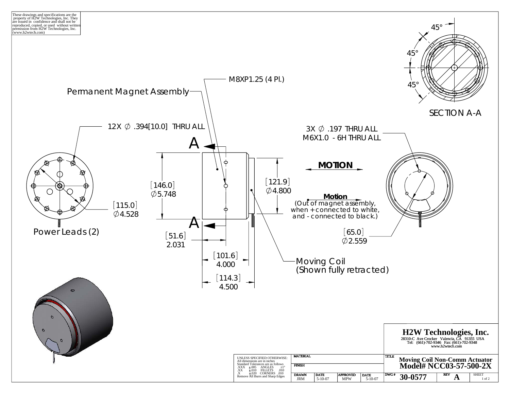